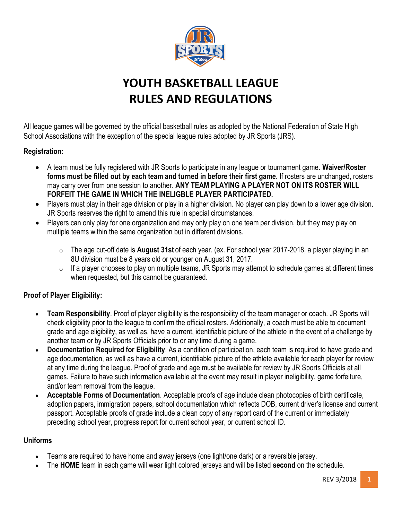

# **YOUTH BASKETBALL LEAGUE RULES AND REGULATIONS**

All league games will be governed by the official basketball rules as adopted by the National Federation of State High School Associations with the exception of the special league rules adopted by JR Sports (JRS).

# **Registration:**

- A team must be fully registered with JR Sports to participate in any league or tournament game. **Waiver/Roster forms must be filled out by each team and turned in before their first game.** If rosters are unchanged, rosters may carry over from one session to another. **ANY TEAM PLAYING A PLAYER NOT ON ITS ROSTER WILL FORFEIT THE GAME IN WHICH THE INELIGBLE PLAYER PARTICIPATED.**
- Players must play in their age division or play in a higher division. No player can play down to a lower age division. JR Sports reserves the right to amend this rule in special circumstances.
- Players can only play for one organization and may only play on one team per division, but they may play on multiple teams within the same organization but in different divisions.
	- o The age cut-off date is **August 31st** of each year. (ex. For school year 2017-2018, a player playing in an 8U division must be 8 years old or younger on August 31, 2017.
	- $\circ$  If a player chooses to play on multiple teams, JR Sports may attempt to schedule games at different times when requested, but this cannot be guaranteed.

# **Proof of Player Eligibility:**

- **Team Responsibility**. Proof of player eligibility is the responsibility of the team manager or coach. JR Sports will check eligibility prior to the league to confirm the official rosters. Additionally, a coach must be able to document grade and age eligibility, as well as, have a current, identifiable picture of the athlete in the event of a challenge by another team or by JR Sports Officials prior to or any time during a game.
- **Documentation Required for Eligibility**. As a condition of participation, each team is required to have grade and age documentation, as well as have a current, identifiable picture of the athlete available for each player for review at any time during the league. Proof of grade and age must be available for review by JR Sports Officials at all games. Failure to have such information available at the event may result in player ineligibility, game forfeiture, and/or team removal from the league.
- **Acceptable Forms of Documentation**. Acceptable proofs of age include clean photocopies of birth certificate, adoption papers, immigration papers, school documentation which reflects DOB, current driver's license and current passport. Acceptable proofs of grade include a clean copy of any report card of the current or immediately preceding school year, progress report for current school year, or current school ID.

#### **Uniforms**

- Teams are required to have home and away jerseys (one light/one dark) or a reversible jersey.
- The **HOME** team in each game will wear light colored jerseys and will be listed **second** on the schedule.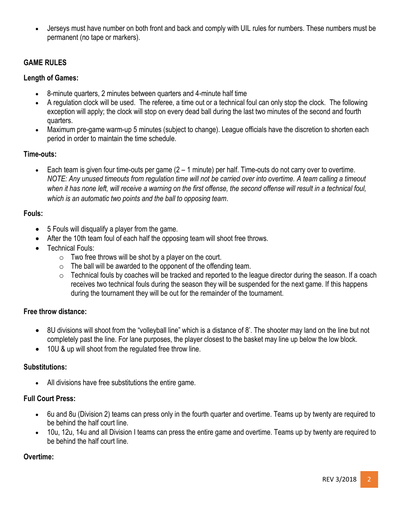• Jerseys must have number on both front and back and comply with UIL rules for numbers. These numbers must be permanent (no tape or markers).

# **GAME RULES**

# **Length of Games:**

- 8-minute quarters, 2 minutes between quarters and 4-minute half time
- A regulation clock will be used. The referee, a time out or a technical foul can only stop the clock. The following exception will apply; the clock will stop on every dead ball during the last two minutes of the second and fourth quarters.
- Maximum pre-game warm-up 5 minutes (subject to change). League officials have the discretion to shorten each period in order to maintain the time schedule.

## **Time-outs:**

• Each team is given four time-outs per game (2 – 1 minute) per half. Time-outs do not carry over to overtime. *NOTE: Any unused timeouts from regulation time will not be carried over into overtime. A team calling a timeout when it has none left, will receive a warning on the first offense, the second offense will result in a technical foul, which is an automatic two points and the ball to opposing team*.

#### **Fouls:**

- 5 Fouls will disqualify a player from the game.
- After the 10th team foul of each half the opposing team will shoot free throws.
- Technical Fouls:
	- $\circ$  Two free throws will be shot by a player on the court.
	- o The ball will be awarded to the opponent of the offending team.
	- o Technical fouls by coaches will be tracked and reported to the league director during the season. If a coach receives two technical fouls during the season they will be suspended for the next game. If this happens during the tournament they will be out for the remainder of the tournament.

#### **Free throw distance:**

- 8U divisions will shoot from the "volleyball line" which is a distance of 8'. The shooter may land on the line but not completely past the line. For lane purposes, the player closest to the basket may line up below the low block.
- 10U & up will shoot from the regulated free throw line.

#### **Substitutions:**

• All divisions have free substitutions the entire game.

#### **Full Court Press:**

- 6u and 8u (Division 2) teams can press only in the fourth quarter and overtime. Teams up by twenty are required to be behind the half court line.
- 10u, 12u, 14u and all Division I teams can press the entire game and overtime. Teams up by twenty are required to be behind the half court line.

#### **Overtime:**